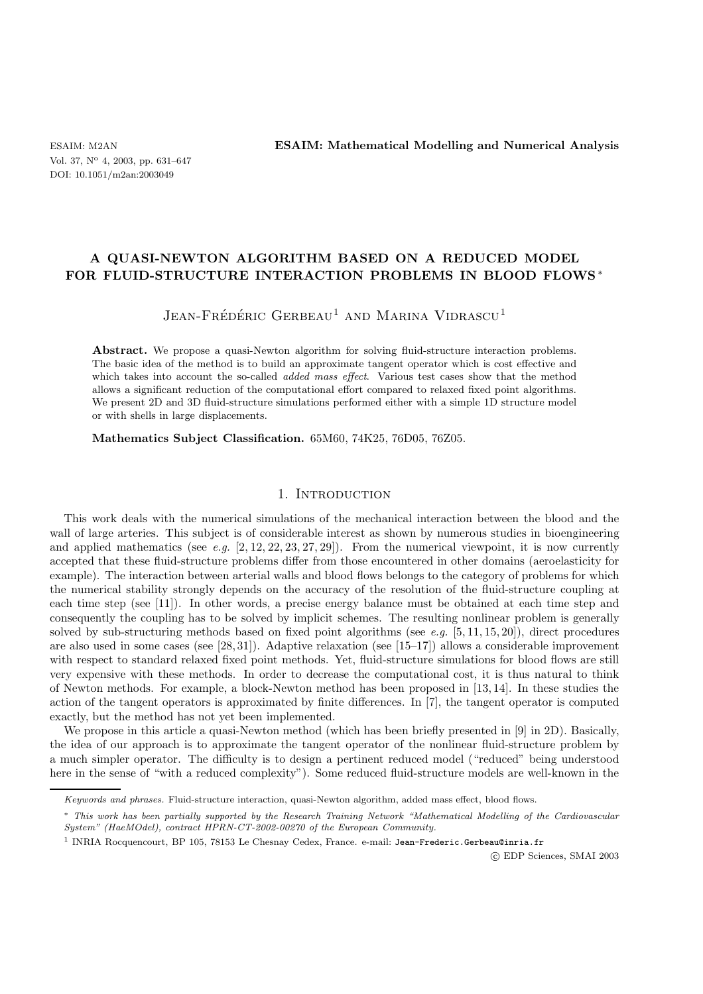# **A QUASI-NEWTON ALGORITHM BASED ON A REDUCED MODEL FOR FLUID-STRUCTURE INTERACTION PROBLEMS IN BLOOD FLOWS** ∗

# $J$ ean-Frédéric Gerbeau<sup>1</sup> and Marina Vidrascu<sup>1</sup>

Abstract. We propose a quasi-Newton algorithm for solving fluid-structure interaction problems. The basic idea of the method is to build an approximate tangent operator which is cost effective and which takes into account the so-called *added mass effect*. Various test cases show that the method allows a significant reduction of the computational effort compared to relaxed fixed point algorithms. We present 2D and 3D fluid-structure simulations performed either with a simple 1D structure model or with shells in large displacements.

**Mathematics Subject Classification.** 65M60, 74K25, 76D05, 76Z05.

## 1. INTRODUCTION

This work deals with the numerical simulations of the mechanical interaction between the blood and the wall of large arteries. This subject is of considerable interest as shown by numerous studies in bioengineering and applied mathematics (see *e.g.*  $[2, 12, 22, 23, 27, 29]$ ). From the numerical viewpoint, it is now currently accepted that these fluid-structure problems differ from those encountered in other domains (aeroelasticity for example). The interaction between arterial walls and blood flows belongs to the category of problems for which the numerical stability strongly depends on the accuracy of the resolution of the fluid-structure coupling at each time step (see [11]). In other words, a precise energy balance must be obtained at each time step and consequently the coupling has to be solved by implicit schemes. The resulting nonlinear problem is generally solved by sub-structuring methods based on fixed point algorithms (see *e.g.* [5, 11, 15, 20]), direct procedures are also used in some cases (see [28, 31]). Adaptive relaxation (see [15–17]) allows a considerable improvement with respect to standard relaxed fixed point methods. Yet, fluid-structure simulations for blood flows are still very expensive with these methods. In order to decrease the computational cost, it is thus natural to think of Newton methods. For example, a block-Newton method has been proposed in [13, 14]. In these studies the action of the tangent operators is approximated by finite differences. In [7], the tangent operator is computed exactly, but the method has not yet been implemented.

We propose in this article a quasi-Newton method (which has been briefly presented in [9] in 2D). Basically, the idea of our approach is to approximate the tangent operator of the nonlinear fluid-structure problem by a much simpler operator. The difficulty is to design a pertinent reduced model ("reduced" being understood here in the sense of "with a reduced complexity"). Some reduced fluid-structure models are well-known in the

-c EDP Sciences, SMAI 2003

Keywords and phrases. Fluid-structure interaction, quasi-Newton algorithm, added mass effect, blood flows.

<sup>∗</sup> This work has been partially supported by the Research Training Network "Mathematical Modelling of the Cardiovascular System" (HaeMOdel), contract HPRN-CT-2002-00270 of the European Community.

<sup>&</sup>lt;sup>1</sup> INRIA Rocquencourt, BP 105, 78153 Le Chesnay Cedex, France. e-mail: Jean-Frederic.Gerbeau@inria.fr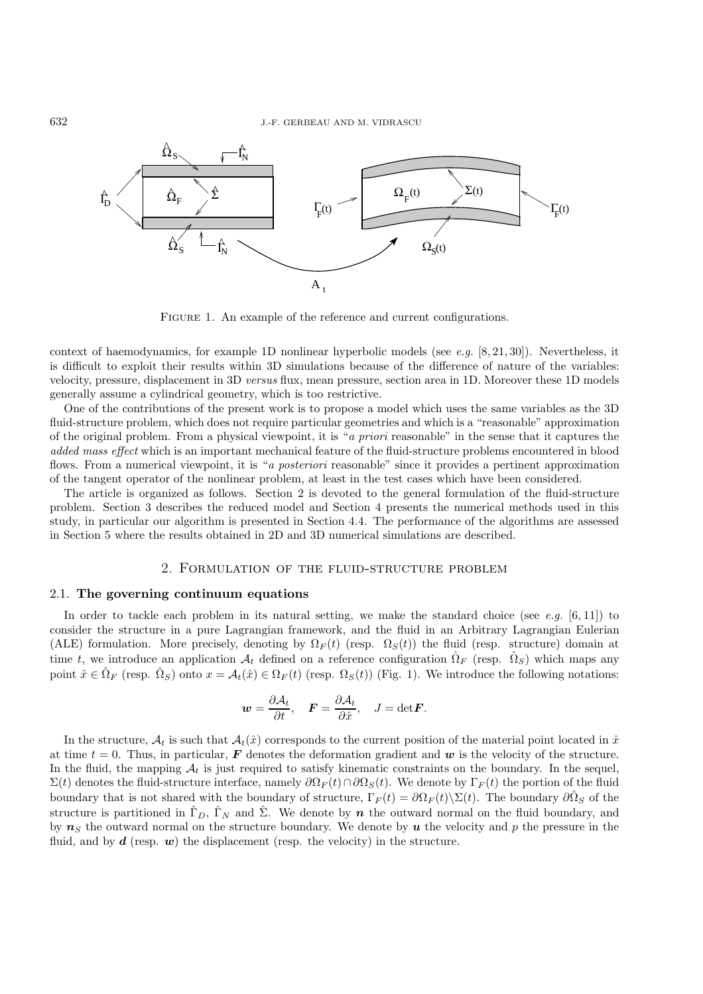

FIGURE 1. An example of the reference and current configurations.

context of haemodynamics, for example 1D nonlinear hyperbolic models (see *e.g.* [8, 21, 30]). Nevertheless, it is difficult to exploit their results within 3D simulations because of the difference of nature of the variables: velocity, pressure, displacement in 3D *versus* flux, mean pressure, section area in 1D. Moreover these 1D models generally assume a cylindrical geometry, which is too restrictive.

One of the contributions of the present work is to propose a model which uses the same variables as the 3D fluid-structure problem, which does not require particular geometries and which is a "reasonable" approximation of the original problem. From a physical viewpoint, it is "*a priori* reasonable" in the sense that it captures the *added mass effect* which is an important mechanical feature of the fluid-structure problems encountered in blood flows. From a numerical viewpoint, it is "*a posteriori* reasonable" since it provides a pertinent approximation of the tangent operator of the nonlinear problem, at least in the test cases which have been considered.

The article is organized as follows. Section 2 is devoted to the general formulation of the fluid-structure problem. Section 3 describes the reduced model and Section 4 presents the numerical methods used in this study, in particular our algorithm is presented in Section 4.4. The performance of the algorithms are assessed in Section 5 where the results obtained in 2D and 3D numerical simulations are described.

# 2. Formulation of the fluid-structure problem

#### 2.1. **The governing continuum equations**

In order to tackle each problem in its natural setting, we make the standard choice (see *e.g.* [6, 11]) to consider the structure in a pure Lagrangian framework, and the fluid in an Arbitrary Lagrangian Eulerian (ALE) formulation. More precisely, denoting by  $\Omega_F(t)$  (resp.  $\Omega_S(t)$ ) the fluid (resp. structure) domain at time t, we introduce an application  $\mathcal{A}_t$  defined on a reference configuration  $\Omega_F$  (resp.  $\Omega_S$ ) which maps any point  $\hat{x} \in \hat{\Omega}_F$  (resp.  $\hat{\Omega}_S$ ) onto  $x = \mathcal{A}_t(\hat{x}) \in \Omega_F(t)$  (resp.  $\Omega_S(t)$ ) (Fig. 1). We introduce the following notations:

$$
\mathbf{w} = \frac{\partial \mathcal{A}_t}{\partial t}, \quad \mathbf{F} = \frac{\partial \mathcal{A}_t}{\partial \hat{x}}, \quad J = \text{det}\mathbf{F}.
$$

In the structure,  $A_t$  is such that  $A_t(\hat{x})$  corresponds to the current position of the material point located in  $\hat{x}$ at time  $t = 0$ . Thus, in particular, **F** denotes the deformation gradient and *w* is the velocity of the structure. In the fluid, the mapping  $A_t$  is just required to satisfy kinematic constraints on the boundary. In the sequel,  $\Sigma(t)$  denotes the fluid-structure interface, namely  $\partial\Omega_F(t)\cap\partial\Omega_S(t)$ . We denote by  $\Gamma_F(t)$  the portion of the fluid boundary that is not shared with the boundary of structure,  $\Gamma_F(t) = \partial \Omega_F(t) \setminus \Sigma(t)$ . The boundary  $\partial \hat{\Omega}_S$  of the structure is partitioned in  $\hat{\Gamma}_D$ ,  $\hat{\Gamma}_N$  and  $\hat{\Sigma}$ . We denote by *n* the outward normal on the fluid boundary, and by  $n<sub>S</sub>$  the outward normal on the structure boundary. We denote by  $u$  the velocity and p the pressure in the fluid, and by  $d$  (resp.  $w$ ) the displacement (resp. the velocity) in the structure.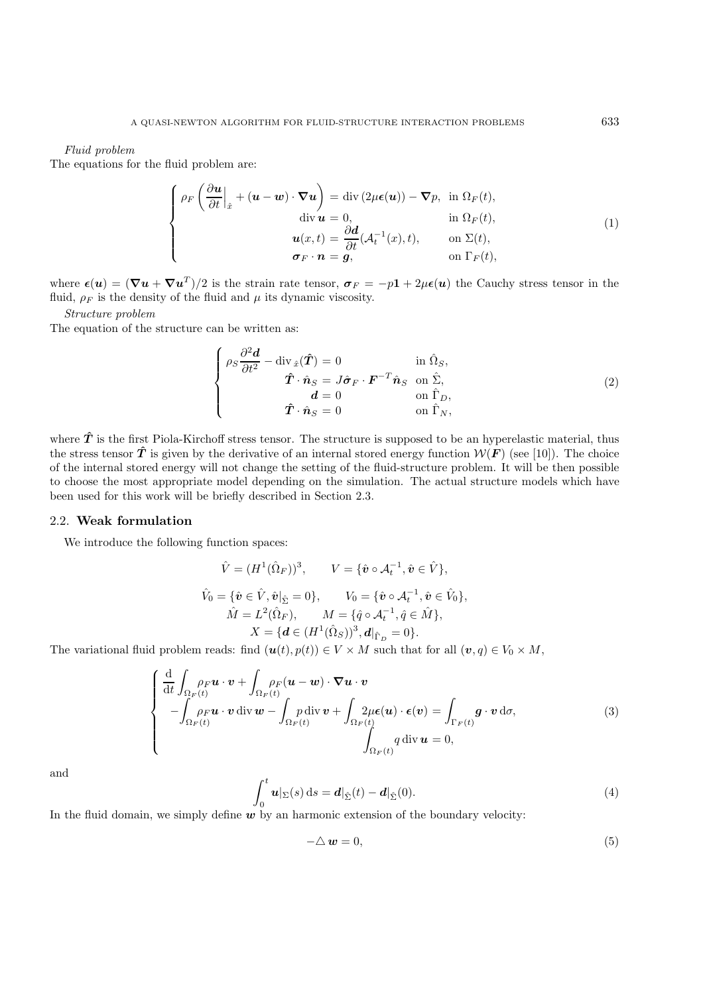#### *Fluid problem*

The equations for the fluid problem are:

$$
\begin{cases}\n\rho_F \left( \frac{\partial \boldsymbol{u}}{\partial t} \Big|_{\hat{x}} + (\boldsymbol{u} - \boldsymbol{w}) \cdot \nabla \boldsymbol{u} \right) = \text{div} \left( 2\mu \boldsymbol{\epsilon}(\boldsymbol{u}) \right) - \nabla p, & \text{in } \Omega_F(t), \\
\text{div } \boldsymbol{u} = 0, & \text{in } \Omega_F(t), \\
\boldsymbol{u}(x, t) = \frac{\partial \boldsymbol{d}}{\partial t} (\mathcal{A}_t^{-1}(x), t), & \text{on } \Sigma(t), \\
\boldsymbol{\sigma}_F \cdot \boldsymbol{n} = \boldsymbol{g}, & \text{on } \Gamma_F(t),\n\end{cases} \tag{1}
$$

where  $\epsilon(\mathbf{u})=(\nabla \mathbf{u} + \nabla \mathbf{u}^T)/2$  is the strain rate tensor,  $\sigma_F = -p\mathbf{1} + 2\mu\epsilon(\mathbf{u})$  the Cauchy stress tensor in the fluid,  $\rho_F$  is the density of the fluid and  $\mu$  its dynamic viscosity.

*Structure problem*

The equation of the structure can be written as:

$$
\begin{cases}\n\rho_S \frac{\partial^2 \boldsymbol{d}}{\partial t^2} - \operatorname{div}_{\hat{x}}(\hat{\boldsymbol{T}}) = 0 & \text{in } \hat{\Omega}_S, \\
\hat{\boldsymbol{T}} \cdot \hat{\boldsymbol{n}}_S = J \hat{\boldsymbol{\sigma}}_F \cdot \boldsymbol{F}^{-T} \hat{\boldsymbol{n}}_S & \text{on } \hat{\Sigma}, \\
\boldsymbol{d} = 0 & \text{on } \hat{\Gamma}_D, \\
\hat{\boldsymbol{T}} \cdot \hat{\boldsymbol{n}}_S = 0 & \text{on } \hat{\Gamma}_N,\n\end{cases}
$$
\n(2)

where  $\hat{T}$  is the first Piola-Kirchoff stress tensor. The structure is supposed to be an hyperelastic material, thus the stress tensor  $\hat{T}$  is given by the derivative of an internal stored energy function  $W(F)$  (see [10]). The choice of the internal stored energy will not change the setting of the fluid-structure problem. It will be then possible to choose the most appropriate model depending on the simulation. The actual structure models which have been used for this work will be briefly described in Section 2.3.

## 2.2. **Weak formulation**

We introduce the following function spaces:

$$
\hat{V} = (H^1(\hat{\Omega}_F))^3, \qquad V = \{\hat{\mathbf{v}} \circ \mathcal{A}_t^{-1}, \hat{\mathbf{v}} \in \hat{V}\},
$$
\n
$$
\hat{V}_0 = \{\hat{\mathbf{v}} \in \hat{V}, \hat{\mathbf{v}}|_{\hat{\Sigma}} = 0\}, \qquad V_0 = \{\hat{\mathbf{v}} \circ \mathcal{A}_t^{-1}, \hat{\mathbf{v}} \in \hat{V}_0\},
$$
\n
$$
\hat{M} = L^2(\hat{\Omega}_F), \qquad M = \{\hat{q} \circ \mathcal{A}_t^{-1}, \hat{q} \in \hat{M}\},
$$
\n
$$
X = \{\mathbf{d} \in (H^1(\hat{\Omega}_S))^3, \mathbf{d}|_{\hat{\Gamma}_D} = 0\}.
$$

The variational fluid problem reads: find  $(\mathbf{u}(t), p(t)) \in V \times M$  such that for all  $(\mathbf{v}, q) \in V_0 \times M$ ,

$$
\begin{cases}\n\frac{\mathrm{d}}{\mathrm{d}t} \int_{\Omega_F(t)} \rho_F \mathbf{u} \cdot \mathbf{v} + \int_{\Omega_F(t)} \rho_F (\mathbf{u} - \mathbf{w}) \cdot \nabla \mathbf{u} \cdot \mathbf{v} \\
-\int_{\Omega_F(t)} \rho_F \mathbf{u} \cdot \mathbf{v} \operatorname{div} \mathbf{w} - \int_{\Omega_F(t)} p \operatorname{div} \mathbf{v} + \int_{\Omega_F(t)} 2\mu \epsilon(\mathbf{u}) \cdot \epsilon(\mathbf{v}) = \int_{\Gamma_F(t)} \mathbf{g} \cdot \mathbf{v} \, \mathrm{d}\sigma,\n\end{cases}
$$
\n(3)\n
$$
\int_{\Omega_F(t)} q \operatorname{div} \mathbf{u} = 0,
$$

and

$$
\int_0^t \boldsymbol{u}|_{\Sigma}(s) ds = \boldsymbol{d}|_{\hat{\Sigma}}(t) - \boldsymbol{d}|_{\hat{\Sigma}}(0). \tag{4}
$$

In the fluid domain, we simply define  $w$  by an harmonic extension of the boundary velocity:

$$
-\triangle w = 0,\t\t(5)
$$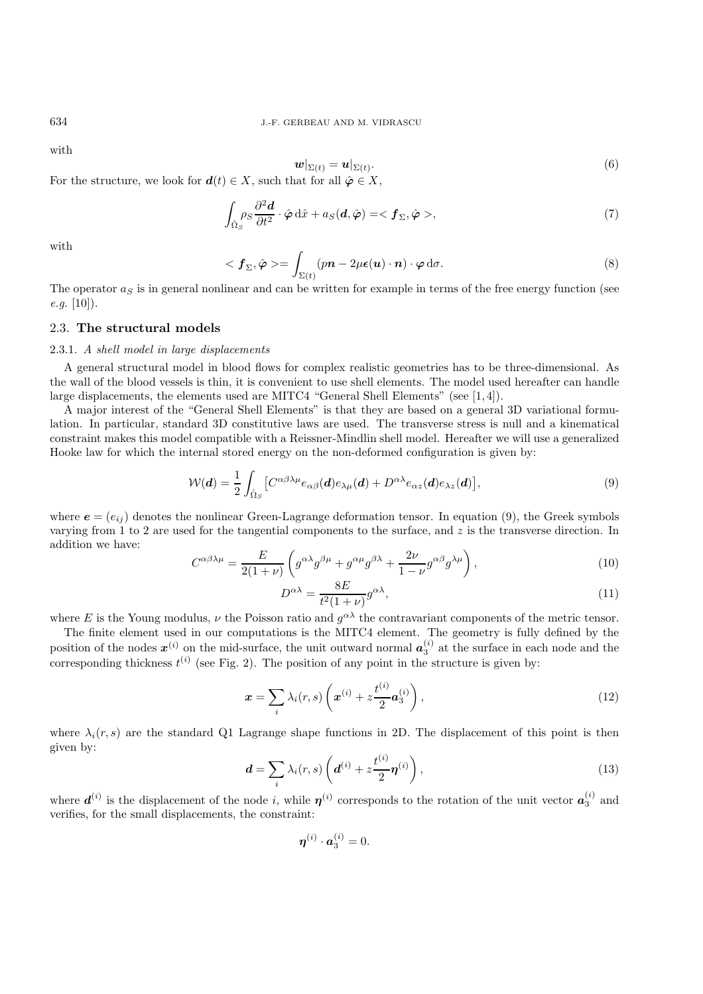with

$$
\boldsymbol{w}|_{\Sigma(t)} = \boldsymbol{u}|_{\Sigma(t)}.\tag{6}
$$

For the structure, we look for  $d(t) \in X$ , such that for all  $\hat{\varphi} \in X$ ,

$$
\int_{\hat{\Omega}_S} \rho_S \frac{\partial^2 \boldsymbol{d}}{\partial t^2} \cdot \hat{\boldsymbol{\varphi}} \, \mathrm{d}\hat{x} + a_S(\boldsymbol{d}, \hat{\boldsymbol{\varphi}}) = \langle \boldsymbol{f}_{\Sigma}, \hat{\boldsymbol{\varphi}} \rangle,\tag{7}
$$

with

$$
\langle f_{\Sigma}, \hat{\varphi} \rangle = \int_{\Sigma(t)} (pn - 2\mu\epsilon(\boldsymbol{u}) \cdot \boldsymbol{n}) \cdot \varphi \, d\sigma. \tag{8}
$$

The operator  $a_S$  is in general nonlinear and can be written for example in terms of the free energy function (see *e.g.* [10]).

## 2.3. **The structural models**

#### 2.3.1. *A shell model in large displacements*

A general structural model in blood flows for complex realistic geometries has to be three-dimensional. As the wall of the blood vessels is thin, it is convenient to use shell elements. The model used hereafter can handle large displacements, the elements used are MITC4 "General Shell Elements" (see [1, 4]).

A major interest of the "General Shell Elements" is that they are based on a general 3D variational formulation. In particular, standard 3D constitutive laws are used. The transverse stress is null and a kinematical constraint makes this model compatible with a Reissner-Mindlin shell model. Hereafter we will use a generalized Hooke law for which the internal stored energy on the non-deformed configuration is given by:

$$
\mathcal{W}(\boldsymbol{d}) = \frac{1}{2} \int_{\hat{\Omega}_S} \left[ C^{\alpha \beta \lambda \mu} e_{\alpha \beta}(\boldsymbol{d}) e_{\lambda \mu}(\boldsymbol{d}) + D^{\alpha \lambda} e_{\alpha z}(\boldsymbol{d}) e_{\lambda z}(\boldsymbol{d}) \right],\tag{9}
$$

where  $e = (e_{ij})$  denotes the nonlinear Green-Lagrange deformation tensor. In equation (9), the Greek symbols varying from 1 to 2 are used for the tangential components to the surface, and z is the transverse direction. In addition we have:

$$
C^{\alpha\beta\lambda\mu} = \frac{E}{2(1+\nu)} \left( g^{\alpha\lambda} g^{\beta\mu} + g^{\alpha\mu} g^{\beta\lambda} + \frac{2\nu}{1-\nu} g^{\alpha\beta} g^{\lambda\mu} \right),\tag{10}
$$

$$
D^{\alpha\lambda} = \frac{8E}{t^2(1+\nu)} g^{\alpha\lambda},\tag{11}
$$

where E is the Young modulus,  $\nu$  the Poisson ratio and  $g^{\alpha\lambda}$  the contravariant components of the metric tensor.

The finite element used in our computations is the MITC4 element. The geometry is fully defined by the position of the nodes  $x^{(i)}$  on the mid-surface, the unit outward normal  $a_3^{(i)}$  at the surface in each node and the corresponding thickness  $t^{(i)}$  (see Fig. 2). The position of any point in the structure is given by:

$$
\boldsymbol{x} = \sum_{i} \lambda_i(r, s) \left( \boldsymbol{x}^{(i)} + z \frac{t^{(i)}}{2} \boldsymbol{a}_3^{(i)} \right), \tag{12}
$$

where  $\lambda_i(r, s)$  are the standard Q1 Lagrange shape functions in 2D. The displacement of this point is then given by:

$$
\boldsymbol{d} = \sum_{i} \lambda_i(r, s) \left( \boldsymbol{d}^{(i)} + z \frac{t^{(i)}}{2} \boldsymbol{\eta}^{(i)} \right), \tag{13}
$$

where  $d^{(i)}$  is the displacement of the node *i*, while  $\eta^{(i)}$  corresponds to the rotation of the unit vector  $a_3^{(i)}$  and verifies, for the small displacements, the constraint:

$$
\boldsymbol{\eta}^{(i)}\cdot \boldsymbol{a}_3^{(i)}=0.
$$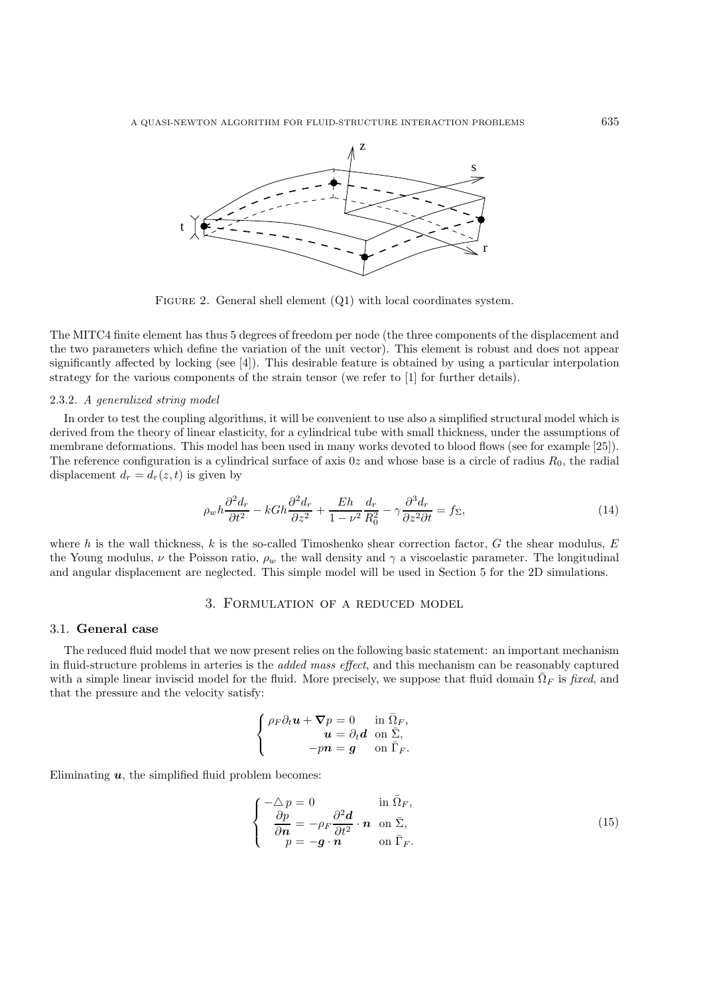

FIGURE 2. General shell element  $(Q1)$  with local coordinates system.

The MITC4 finite element has thus 5 degrees of freedom per node (the three components of the displacement and the two parameters which define the variation of the unit vector). This element is robust and does not appear significantly affected by locking (see [4]). This desirable feature is obtained by using a particular interpolation strategy for the various components of the strain tensor (we refer to [1] for further details).

#### 2.3.2. *A generalized string model*

In order to test the coupling algorithms, it will be convenient to use also a simplified structural model which is derived from the theory of linear elasticity, for a cylindrical tube with small thickness, under the assumptions of membrane deformations. This model has been used in many works devoted to blood flows (see for example [25]). The reference configuration is a cylindrical surface of axis  $0z$  and whose base is a circle of radius  $R_0$ , the radial displacement  $d_r = d_r(z, t)$  is given by

$$
\rho_w h \frac{\partial^2 d_r}{\partial t^2} - k G h \frac{\partial^2 d_r}{\partial z^2} + \frac{E h}{1 - \nu^2} \frac{d_r}{R_0^2} - \gamma \frac{\partial^3 d_r}{\partial z^2 \partial t} = f_{\Sigma},\tag{14}
$$

where h is the wall thickness, k is the so-called Timoshenko shear correction factor, G the shear modulus,  $E$ the Young modulus,  $\nu$  the Poisson ratio,  $\rho_w$  the wall density and  $\gamma$  a viscoelastic parameter. The longitudinal and angular displacement are neglected. This simple model will be used in Section 5 for the 2D simulations.

## 3. Formulation of a reduced model

#### 3.1. **General case**

The reduced fluid model that we now present relies on the following basic statement: an important mechanism in fluid-structure problems in arteries is the *added mass effect*, and this mechanism can be reasonably captured with a simple linear inviscid model for the fluid. More precisely, we suppose that fluid domain  $\overline{\Omega}_F$  is *fixed*, and that the pressure and the velocity satisfy:

$$
\begin{cases} \rho_F \partial_t \boldsymbol{u} + \boldsymbol{\nabla} p = 0 & \text{in } \bar{\Omega}_F, \\ \boldsymbol{u} = \partial_t \boldsymbol{d} & \text{on } \bar{\Sigma}, \\ -p \boldsymbol{n} = \boldsymbol{g} & \text{on } \bar{\Gamma}_F. \end{cases}
$$

Eliminating  $u$ , the simplified fluid problem becomes:

$$
\begin{cases}\n-\Delta p = 0 & \text{in } \overline{\Omega}_F, \\
\frac{\partial p}{\partial n} = -\rho_F \frac{\partial^2 d}{\partial t^2} \cdot n & \text{on } \overline{\Sigma}, \\
p = -g \cdot n & \text{on } \overline{\Gamma}_F.\n\end{cases}
$$
\n(15)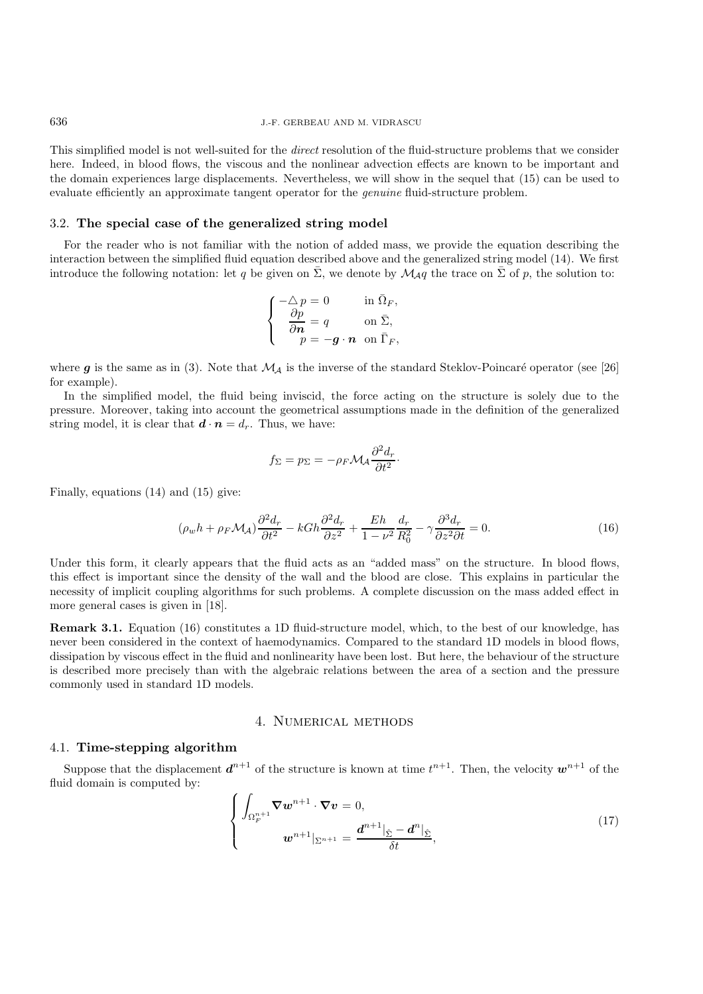This simplified model is not well-suited for the *direct* resolution of the fluid-structure problems that we consider here. Indeed, in blood flows, the viscous and the nonlinear advection effects are known to be important and the domain experiences large displacements. Nevertheless, we will show in the sequel that (15) can be used to evaluate efficiently an approximate tangent operator for the *genuine* fluid-structure problem.

#### 3.2. **The special case of the generalized string model**

For the reader who is not familiar with the notion of added mass, we provide the equation describing the interaction between the simplified fluid equation described above and the generalized string model (14). We first introduce the following notation: let q be given on  $\bar{\Sigma}$ , we denote by  $\mathcal{M}_{\mathcal{A}}q$  the trace on  $\bar{\Sigma}$  of p, the solution to:

$$
\left\{ \begin{array}{ll} -\triangle\,p=0 & \text{in }\bar{\Omega}_F, \\ \dfrac{\partial p}{\partial\textbf{\textit{n}}}=q & \text{on }\bar{\Sigma}, \\ p=-\textbf{\textit{g}}\cdot\textbf{\textit{n}} & \text{on }\bar{\Gamma}_F, \end{array} \right.
$$

where  $g$  is the same as in (3). Note that  $\mathcal{M}_{\mathcal{A}}$  is the inverse of the standard Steklov-Poincaré operator (see [26] for example).

In the simplified model, the fluid being inviscid, the force acting on the structure is solely due to the pressure. Moreover, taking into account the geometrical assumptions made in the definition of the generalized string model, it is clear that  $\mathbf{d} \cdot \mathbf{n} = d_r$ . Thus, we have:

$$
f_{\Sigma} = p_{\Sigma} = -\rho_F \mathcal{M}_A \frac{\partial^2 d_r}{\partial t^2}.
$$

Finally, equations (14) and (15) give:

$$
(\rho_w h + \rho_F \mathcal{M}_A) \frac{\partial^2 d_r}{\partial t^2} - k G h \frac{\partial^2 d_r}{\partial z^2} + \frac{E h}{1 - \nu^2} \frac{d_r}{R_0^2} - \gamma \frac{\partial^3 d_r}{\partial z^2 \partial t} = 0.
$$
 (16)

Under this form, it clearly appears that the fluid acts as an "added mass" on the structure. In blood flows, this effect is important since the density of the wall and the blood are close. This explains in particular the necessity of implicit coupling algorithms for such problems. A complete discussion on the mass added effect in more general cases is given in [18].

**Remark 3.1.** Equation (16) constitutes a 1D fluid-structure model, which, to the best of our knowledge, has never been considered in the context of haemodynamics. Compared to the standard 1D models in blood flows, dissipation by viscous effect in the fluid and nonlinearity have been lost. But here, the behaviour of the structure is described more precisely than with the algebraic relations between the area of a section and the pressure commonly used in standard 1D models.

## 4. Numerical methods

#### 4.1. **Time-stepping algorithm**

Suppose that the displacement  $d^{n+1}$  of the structure is known at time  $t^{n+1}$ . Then, the velocity  $w^{n+1}$  of the fluid domain is computed by:

$$
\begin{cases}\n\int_{\Omega_F^{n+1}} \nabla w^{n+1} \cdot \nabla v = 0, \\
w^{n+1} \big|_{\Sigma^{n+1}} = \frac{d^{n+1} \big|_{\hat{\Sigma}} - d^n \big|_{\hat{\Sigma}}}{\delta t},\n\end{cases}
$$
\n(17)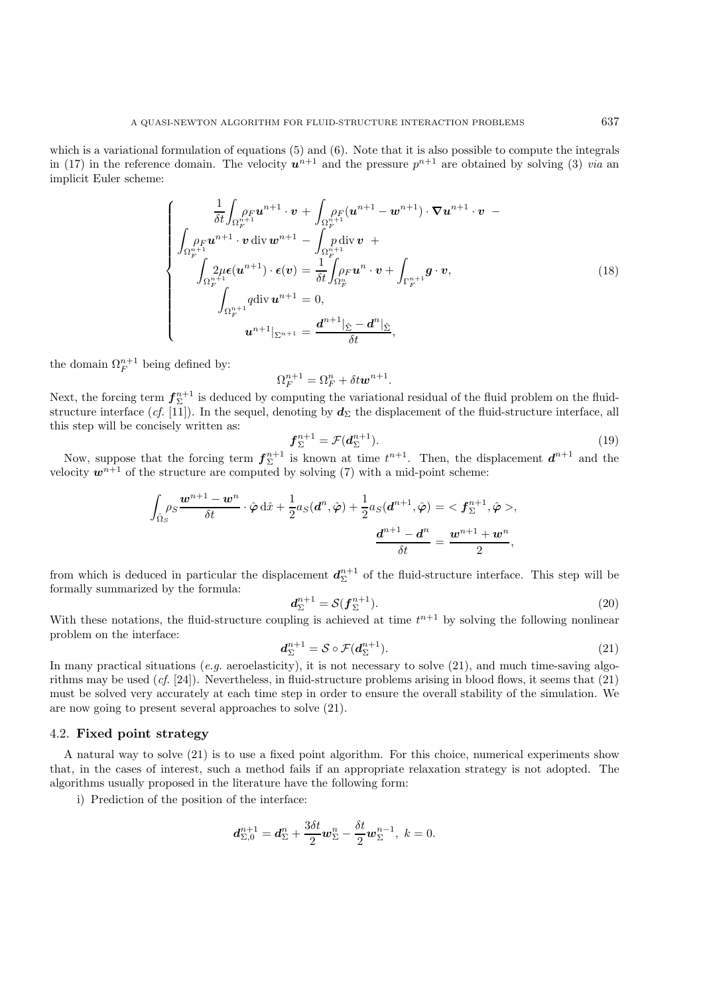which is a variational formulation of equations (5) and (6). Note that it is also possible to compute the integrals in (17) in the reference domain. The velocity  $u^{n+1}$  and the pressure  $p^{n+1}$  are obtained by solving (3) *via* an implicit Euler scheme:

$$
\begin{cases}\n\frac{1}{\delta t} \int_{\Omega_F^{n+1}} \rho_F \mathbf{u}^{n+1} \cdot \mathbf{v} + \int_{\Omega_F^{n+1}} \rho_F (\mathbf{u}^{n+1} - \mathbf{w}^{n+1}) \cdot \nabla \mathbf{u}^{n+1} \cdot \mathbf{v} \\
\int_{\Omega_F^{n+1}} \rho_F \mathbf{u}^{n+1} \cdot \mathbf{v} \operatorname{div} \mathbf{w}^{n+1} - \int_{\Omega_F^{n+1}} \rho_F \operatorname{div} \mathbf{v} + \int_{\Omega_F^{n+1}} \rho_F \mathbf{u}^{n} \cdot \mathbf{v} + \int_{\Gamma_F^{n+1}} \mathbf{g} \cdot \mathbf{v}, \\
\int_{\Omega_F^{n+1}} \rho_F \mathbf{u}^{n+1} \cdot \mathbf{v} + \int_{\Omega_F^{n+1}} \mathbf{g} \cdot \mathbf{v}, \\
\int_{\Omega_F^{n+1}} q \operatorname{div} \mathbf{u}^{n+1} = 0, \\
\mathbf{u}^{n+1} |_{\Sigma^{n+1}} = \frac{\mathbf{d}^{n+1} |_{\hat{\Sigma}} - \mathbf{d}^{n} |_{\hat{\Sigma}}}{\delta t},\n\end{cases} \tag{18}
$$

the domain  $\Omega_F^{n+1}$  being defined by:

$$
\Omega_F^{n+1} = \Omega_F^n + \delta t \mathbf{w}^{n+1}.
$$

Next, the forcing term  $f_{\Sigma}^{n+1}$  is deduced by computing the variational residual of the fluid problem on the fluidstructure interface (*cf.* [11]). In the sequel, denoting by  $d_{\Sigma}$  the displacement of the fluid-structure interface, all this step will be concisely written as:

$$
\mathbf{f}_{\Sigma}^{n+1} = \mathcal{F}(\mathbf{d}_{\Sigma}^{n+1}).\tag{19}
$$

Now, suppose that the forcing term  $f_{\Sigma}^{n+1}$  is known at time  $t^{n+1}$ . Then, the displacement  $d^{n+1}$  and the velocity  $w^{n+1}$  of the structure are computed by solving (7) with a mid-point scheme:

$$
\int_{\hat{\Omega}_S} \rho_S \frac{\boldsymbol{w}^{n+1} - \boldsymbol{w}^n}{\delta t} \cdot \hat{\boldsymbol{\varphi}} \, \mathrm{d}\hat{x} + \frac{1}{2} a_S(\boldsymbol{d}^n, \hat{\boldsymbol{\varphi}}) + \frac{1}{2} a_S(\boldsymbol{d}^{n+1}, \hat{\boldsymbol{\varphi}}) = \langle \boldsymbol{f}_{\Sigma}^{n+1}, \hat{\boldsymbol{\varphi}} \rangle,
$$
\n
$$
\frac{\boldsymbol{d}^{n+1} - \boldsymbol{d}^n}{\delta t} = \frac{\boldsymbol{w}^{n+1} + \boldsymbol{w}^n}{2},
$$

from which is deduced in particular the displacement  $d_{\Sigma}^{n+1}$  of the fluid-structure interface. This step will be formally summarized by the formula:

$$
d_{\Sigma}^{n+1} = \mathcal{S}(f_{\Sigma}^{n+1}).
$$
\n(20)

With these notations, the fluid-structure coupling is achieved at time  $t^{n+1}$  by solving the following nonlinear problem on the interface:

$$
d_{\Sigma}^{n+1} = \mathcal{S} \circ \mathcal{F}(d_{\Sigma}^{n+1}). \tag{21}
$$

In many practical situations (*e.g.* aeroelasticity), it is not necessary to solve (21), and much time-saving algorithms may be used (*cf.* [24]). Nevertheless, in fluid-structure problems arising in blood flows, it seems that (21) must be solved very accurately at each time step in order to ensure the overall stability of the simulation. We are now going to present several approaches to solve (21).

## 4.2. **Fixed point strategy**

A natural way to solve (21) is to use a fixed point algorithm. For this choice, numerical experiments show that, in the cases of interest, such a method fails if an appropriate relaxation strategy is not adopted. The algorithms usually proposed in the literature have the following form:

i) Prediction of the position of the interface:

$$
\boldsymbol{d}_{\Sigma,0}^{n+1}=\boldsymbol{d}_{\Sigma}^{n}+\frac{3\delta t}{2}\boldsymbol{w}_{\Sigma}^{n}-\frac{\delta t}{2}\boldsymbol{w}_{\Sigma}^{n-1},\;k=0.
$$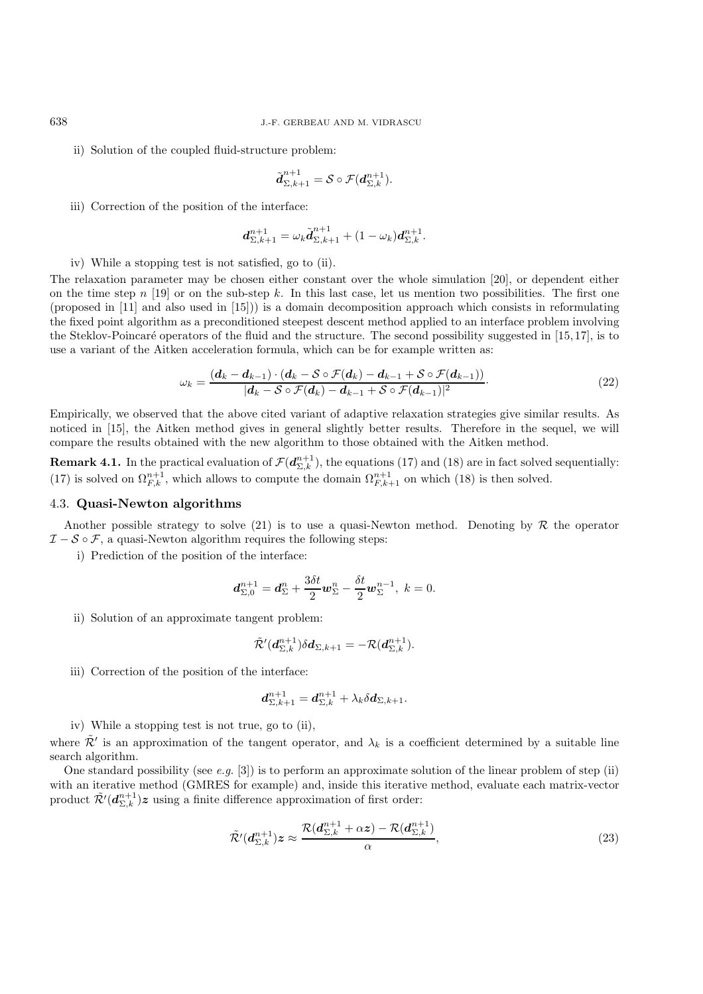ii) Solution of the coupled fluid-structure problem:

$$
\tilde{\boldsymbol{d}}_{\Sigma,k+1}^{n+1} = \mathcal{S} \circ \mathcal{F}(\boldsymbol{d}_{\Sigma,k}^{n+1}).
$$

iii) Correction of the position of the interface:

$$
\mathbf{d}_{\Sigma,k+1}^{n+1} = \omega_k \tilde{\mathbf{d}}_{\Sigma,k+1}^{n+1} + (1 - \omega_k) \mathbf{d}_{\Sigma,k}^{n+1}.
$$

iv) While a stopping test is not satisfied, go to (ii).

The relaxation parameter may be chosen either constant over the whole simulation [20], or dependent either on the time step n [19] or on the sub-step k. In this last case, let us mention two possibilities. The first one (proposed in [11] and also used in [15])) is a domain decomposition approach which consists in reformulating the fixed point algorithm as a preconditioned steepest descent method applied to an interface problem involving the Steklov-Poincaré operators of the fluid and the structure. The second possibility suggested in [15,17], is to use a variant of the Aitken acceleration formula, which can be for example written as:

$$
\omega_k = \frac{(\boldsymbol{d}_k - \boldsymbol{d}_{k-1}) \cdot (\boldsymbol{d}_k - \mathcal{S} \circ \mathcal{F}(\boldsymbol{d}_k) - \boldsymbol{d}_{k-1} + \mathcal{S} \circ \mathcal{F}(\boldsymbol{d}_{k-1}))}{|\boldsymbol{d}_k - \mathcal{S} \circ \mathcal{F}(\boldsymbol{d}_k) - \boldsymbol{d}_{k-1} + \mathcal{S} \circ \mathcal{F}(\boldsymbol{d}_{k-1})|^2}.
$$
\n(22)

Empirically, we observed that the above cited variant of adaptive relaxation strategies give similar results. As noticed in [15], the Aitken method gives in general slightly better results. Therefore in the sequel, we will compare the results obtained with the new algorithm to those obtained with the Aitken method.

**Remark 4.1.** In the practical evaluation of  $\mathcal{F}(d_{\Sigma,k}^{n+1})$ , the equations (17) and (18) are in fact solved sequentially: (17) is solved on  $\Omega_{F,k}^{n+1}$ , which allows to compute the domain  $\Omega_{F,k+1}^{n+1}$  on which (18) is then solved.

## 4.3. **Quasi-Newton algorithms**

Another possible strategy to solve  $(21)$  is to use a quasi-Newton method. Denoting by R the operator  $\mathcal{I}-\mathcal{S}\circ\mathcal{F}$ , a quasi-Newton algorithm requires the following steps:

i) Prediction of the position of the interface:

$$
\boldsymbol{d}_{\Sigma,0}^{n+1} = \boldsymbol{d}_{\Sigma}^{n} + \frac{3\delta t}{2} \boldsymbol{w}_{\Sigma}^{n} - \frac{\delta t}{2} \boldsymbol{w}_{\Sigma}^{n-1}, \ k = 0.
$$

ii) Solution of an approximate tangent problem:

$$
\tilde{\mathcal{R}}'(d_{\Sigma,k}^{n+1})\delta d_{\Sigma,k+1}=-\mathcal{R}(d_{\Sigma,k}^{n+1}).
$$

iii) Correction of the position of the interface:

$$
\boldsymbol{d}^{n+1}_{\Sigma,k+1} = \boldsymbol{d}^{n+1}_{\Sigma,k} + \lambda_k \delta \boldsymbol{d}_{\Sigma,k+1}.
$$

iv) While a stopping test is not true, go to (ii),

where  $\tilde{\mathcal{R}}'$  is an approximation of the tangent operator, and  $\lambda_k$  is a coefficient determined by a suitable line search algorithm.

One standard possibility (see *e.g.* [3]) is to perform an approximate solution of the linear problem of step (ii) with an iterative method (GMRES for example) and, inside this iterative method, evaluate each matrix-vector product  $\tilde{\mathcal{R}}'(\boldsymbol{d}_{\Sigma,k}^{n+1})z$  using a finite difference approximation of first order:

$$
\tilde{\mathcal{R}}'(d_{\Sigma,k}^{n+1})z \approx \frac{\mathcal{R}(d_{\Sigma,k}^{n+1} + \alpha z) - \mathcal{R}(d_{\Sigma,k}^{n+1})}{\alpha},\tag{23}
$$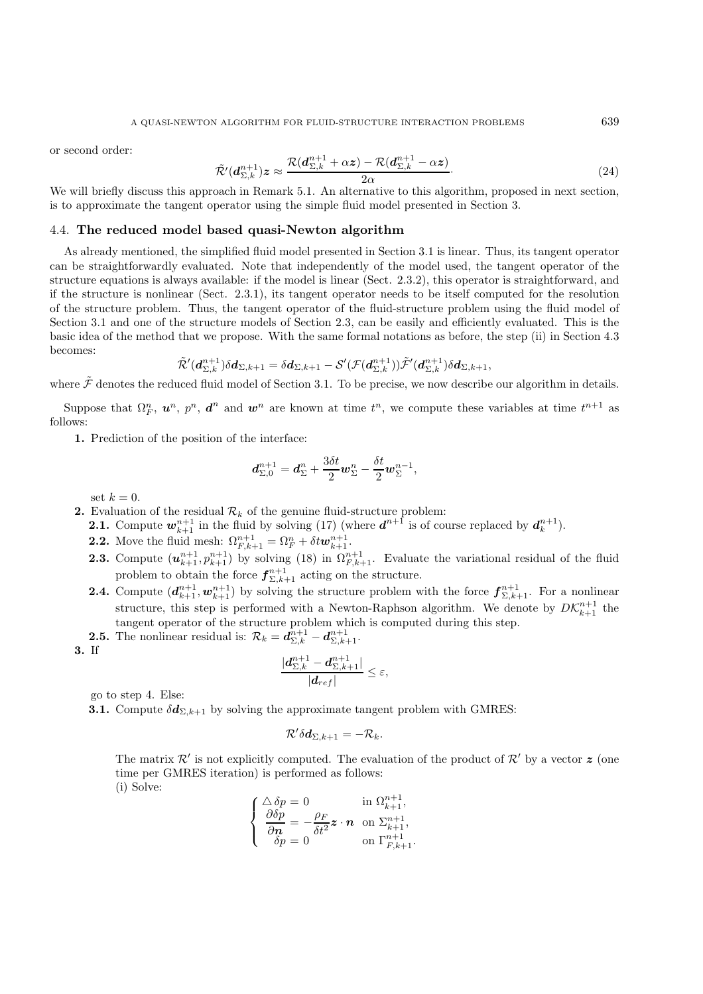or second order:

$$
\tilde{\mathcal{R}}'(d_{\Sigma,k}^{n+1})z \approx \frac{\mathcal{R}(d_{\Sigma,k}^{n+1} + \alpha z) - \mathcal{R}(d_{\Sigma,k}^{n+1} - \alpha z)}{2\alpha}.
$$
\n(24)

We will briefly discuss this approach in Remark 5.1. An alternative to this algorithm, proposed in next section, is to approximate the tangent operator using the simple fluid model presented in Section 3.

#### 4.4. **The reduced model based quasi-Newton algorithm**

As already mentioned, the simplified fluid model presented in Section 3.1 is linear. Thus, its tangent operator can be straightforwardly evaluated. Note that independently of the model used, the tangent operator of the structure equations is always available: if the model is linear (Sect. 2.3.2), this operator is straightforward, and if the structure is nonlinear (Sect. 2.3.1), its tangent operator needs to be itself computed for the resolution of the structure problem. Thus, the tangent operator of the fluid-structure problem using the fluid model of Section 3.1 and one of the structure models of Section 2.3, can be easily and efficiently evaluated. This is the basic idea of the method that we propose. With the same formal notations as before, the step (ii) in Section 4.3 becomes:

$$
\tilde{\mathcal{R}}'(d_{\Sigma,k}^{n+1})\delta d_{\Sigma,k+1}=\delta d_{\Sigma,k+1}-\mathcal{S}'(\mathcal{F}(d_{\Sigma,k}^{n+1}))\tilde{\mathcal{F}}'(d_{\Sigma,k}^{n+1})\delta d_{\Sigma,k+1},
$$

where  $\tilde{\mathcal{F}}$  denotes the reduced fluid model of Section 3.1. To be precise, we now describe our algorithm in details.

Suppose that  $\Omega_F^n$ ,  $u^n$ ,  $p^n$ ,  $d^n$  and  $w^n$  are known at time  $t^n$ , we compute these variables at time  $t^{n+1}$  as follows:

**1.** Prediction of the position of the interface:

$$
\boldsymbol{d}_{\Sigma,0}^{n+1} = \boldsymbol{d}_{\Sigma}^{n} + \frac{3\delta t}{2} \boldsymbol{w}_{\Sigma}^{n} - \frac{\delta t}{2} \boldsymbol{w}_{\Sigma}^{n-1},
$$

set  $k = 0$ .

- **2.** Evaluation of the residual  $\mathcal{R}_k$  of the genuine fluid-structure problem:
	- **2.1.** Compute  $w_{k+1}^{n+1}$  in the fluid by solving (17) (where  $d^{n+1}$  is of course replaced by  $d_k^{n+1}$ ).
	- **2.2.** Move the fluid mesh:  $\Omega_{F,k+1}^{n+1} = \Omega_F^n + \delta t \mathbf{w}_{k+1}^{n+1}$ .
	- **2.3.** Compute  $(u_{k+1}^{n+1}, p_{k+1}^{n+1})$  by solving (18) in  $\Omega_{F,k+1}^{n+1}$ . Evaluate the variational residual of the fluid problem to obtain the force  $f_{\Sigma,k+1}^{n+1}$  acting on the structure.
	- **2.4.** Compute  $(d_{k+1}^{n+1}, \mathbf{w}_{k+1}^{n+1})$  by solving the structure problem with the force  $f_{\Sigma,k+1}^{n+1}$ . For a nonlinear structure, this step is performed with a Newton-Raphson algorithm. We denote by  $DK_{k+1}^{n+1}$  the tangent operator of the structure problem which is computed during this step.
	- **2.5.** The nonlinear residual is:  $\mathcal{R}_k = \mathbf{d}_{\Sigma,k}^{n+1} \mathbf{d}_{\Sigma,k+1}^{n+1}$ .
- **3.** If

$$
\frac{|\boldsymbol{d}_{\Sigma,k}^{n+1}-\boldsymbol{d}_{\Sigma,k+1}^{n+1}|}{|\boldsymbol{d}_{ref}|}\leq\varepsilon,
$$

go to step 4. Else:

**3.1.** Compute  $\delta d_{\Sigma,k+1}$  by solving the approximate tangent problem with GMRES:

$$
\mathcal{R}'\delta \boldsymbol{d}_{\Sigma,k+1}=-\mathcal{R}_{k}.
$$

The matrix  $\mathcal{R}'$  is not explicitly computed. The evaluation of the product of  $\mathcal{R}'$  by a vector  $\boldsymbol{z}$  (one time per GMRES iteration) is performed as follows: (i) Solve:

$$
\begin{cases} \Delta \delta p = 0 & \text{in } \Omega_{k+1}^{n+1}, \\ \frac{\partial \delta p}{\partial n} = -\frac{\rho_F}{\delta t^2} \mathbf{z} \cdot \mathbf{n} & \text{on } \Sigma_{k+1}^{n+1}, \\ \delta p = 0 & \text{on } \Gamma_{F,k+1}^{n+1}. \end{cases}
$$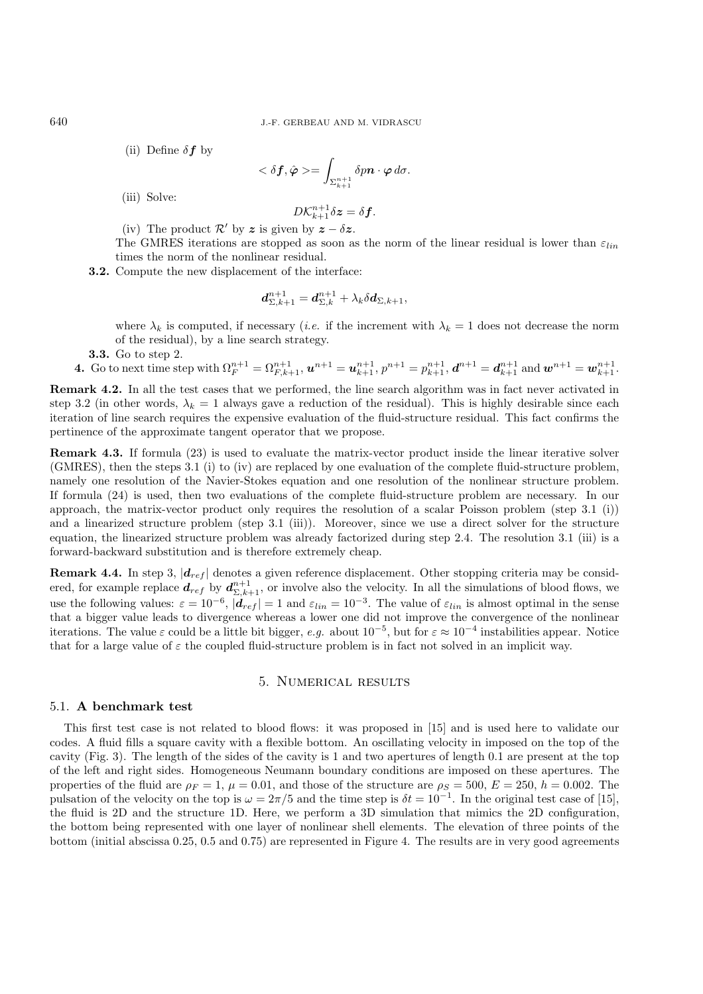(ii) Define  $\delta f$  by

$$
<\delta \bm{f}, \hat{\bm{\varphi}}>=\int_{\Sigma_{k+1}^{n+1}}\delta p\bm{n}\cdot\bm{\varphi}\,d\sigma.
$$

(iii) Solve:

$$
D\mathcal{K}_{k+1}^{n+1}\delta \boldsymbol{z} = \delta \boldsymbol{f}.
$$

(iv) The product  $\mathcal{R}'$  by *z* is given by  $z - \delta z$ .

The GMRES iterations are stopped as soon as the norm of the linear residual is lower than  $\varepsilon_{lin}$ times the norm of the nonlinear residual.

**3.2.** Compute the new displacement of the interface:

$$
\boldsymbol{d}^{n+1}_{\Sigma,k+1} = \boldsymbol{d}^{n+1}_{\Sigma,k} + \lambda_k \delta \boldsymbol{d}_{\Sigma,k+1},
$$

where  $\lambda_k$  is computed, if necessary (*i.e.* if the increment with  $\lambda_k = 1$  does not decrease the norm of the residual), by a line search strategy.

**3.3.** Go to step 2.

**4.** Go to next time step with 
$$
\Omega_F^{n+1} = \Omega_{F,k+1}^{n+1}
$$
,  $\boldsymbol{u}^{n+1} = \boldsymbol{u}_{k+1}^{n+1}$ ,  $p^{n+1} = p_{k+1}^{n+1}$ ,  $\boldsymbol{d}^{n+1} = \boldsymbol{d}_{k+1}^{n+1}$  and  $\boldsymbol{w}^{n+1} = \boldsymbol{w}_{k+1}^{n+1}$ .

**Remark 4.2.** In all the test cases that we performed, the line search algorithm was in fact never activated in step 3.2 (in other words,  $\lambda_k = 1$  always gave a reduction of the residual). This is highly desirable since each iteration of line search requires the expensive evaluation of the fluid-structure residual. This fact confirms the pertinence of the approximate tangent operator that we propose.

**Remark 4.3.** If formula (23) is used to evaluate the matrix-vector product inside the linear iterative solver (GMRES), then the steps 3.1 (i) to (iv) are replaced by one evaluation of the complete fluid-structure problem, namely one resolution of the Navier-Stokes equation and one resolution of the nonlinear structure problem. If formula (24) is used, then two evaluations of the complete fluid-structure problem are necessary. In our approach, the matrix-vector product only requires the resolution of a scalar Poisson problem (step 3.1 (i)) and a linearized structure problem (step 3.1 (iii)). Moreover, since we use a direct solver for the structure equation, the linearized structure problem was already factorized during step 2.4. The resolution 3.1 (iii) is a forward-backward substitution and is therefore extremely cheap.

**Remark 4.4.** In step 3,  $|d_{ref}|$  denotes a given reference displacement. Other stopping criteria may be considered, for example replace  $d_{ref}$  by  $d_{\Sigma,k+1}^{n+1}$ , or involve also the velocity. In all the simulations of blood flows, we use the following values:  $\varepsilon = 10^{-6}$ ,  $|\boldsymbol{d}_{ref}| = 1$  and  $\varepsilon_{lin} = 10^{-3}$ . The value of  $\varepsilon_{lin}$  is almost optimal in the sense that a bigger value leads to divergence whereas a lower one did not improve the convergence of the nonlinear iterations. The value  $\varepsilon$  could be a little bit bigger, *e.g.* about  $10^{-5}$ , but for  $\varepsilon \approx 10^{-4}$  instabilities appear. Notice that for a large value of  $\varepsilon$  the coupled fluid-structure problem is in fact not solved in an implicit way.

## 5. Numerical results

## 5.1. **A benchmark test**

This first test case is not related to blood flows: it was proposed in [15] and is used here to validate our codes. A fluid fills a square cavity with a flexible bottom. An oscillating velocity in imposed on the top of the cavity (Fig. 3). The length of the sides of the cavity is 1 and two apertures of length 0.1 are present at the top of the left and right sides. Homogeneous Neumann boundary conditions are imposed on these apertures. The properties of the fluid are  $\rho_F = 1$ ,  $\mu = 0.01$ , and those of the structure are  $\rho_S = 500$ ,  $E = 250$ ,  $h = 0.002$ . The pulsation of the velocity on the top is  $\omega = 2\pi/5$  and the time step is  $\delta t = 10^{-1}$ . In the original test case of [15], the fluid is 2D and the structure 1D. Here, we perform a 3D simulation that mimics the 2D configuration, the bottom being represented with one layer of nonlinear shell elements. The elevation of three points of the bottom (initial abscissa 0.25, 0.5 and 0.75) are represented in Figure 4. The results are in very good agreements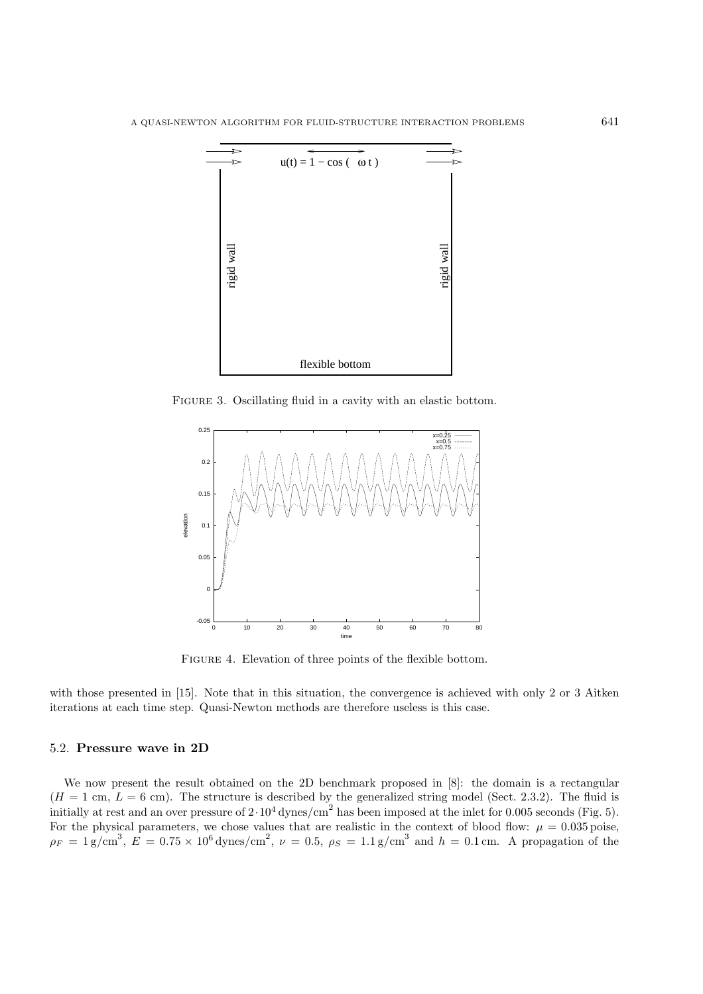

FIGURE 3. Oscillating fluid in a cavity with an elastic bottom.



FIGURE 4. Elevation of three points of the flexible bottom.

with those presented in [15]. Note that in this situation, the convergence is achieved with only 2 or 3 Aitken iterations at each time step. Quasi-Newton methods are therefore useless is this case.

## 5.2. **Pressure wave in 2D**

We now present the result obtained on the 2D benchmark proposed in  $[8]$ : the domain is a rectangular  $(H = 1 \text{ cm}, L = 6 \text{ cm})$ . The structure is described by the generalized string model (Sect. 2.3.2). The fluid is initially at rest and an over pressure of  $2 \cdot 10^4$  dynes/cm<sup>2</sup> has been imposed at the inlet for 0.005 seconds (Fig. 5). For the physical parameters, we chose values that are realistic in the context of blood flow:  $\mu = 0.035$  poise,  $\rho_F = 1 \text{ g/cm}^3$ ,  $E = 0.75 \times 10^6 \text{ dynes/cm}^2$ ,  $\nu = 0.5$ ,  $\rho_S = 1.1 \text{ g/cm}^3$  and  $h = 0.1 \text{ cm}$ . A propagation of the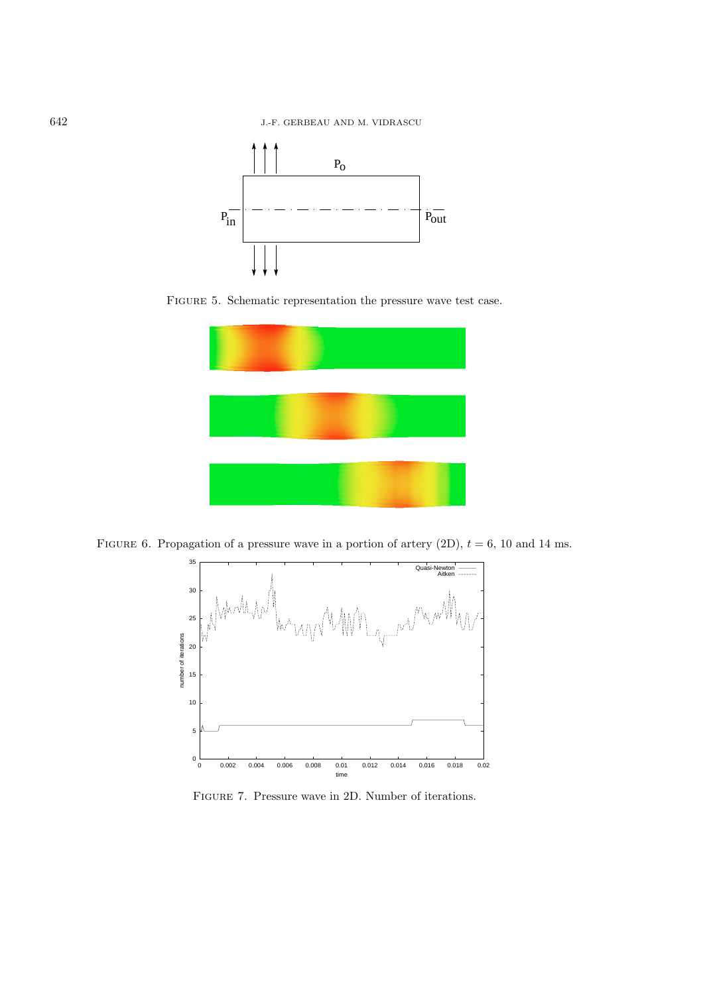

FIGURE 5. Schematic representation the pressure wave test case.



FIGURE 6. Propagation of a pressure wave in a portion of artery  $(2D)$ ,  $t = 6$ , 10 and 14 ms.



Figure 7. Pressure wave in 2D. Number of iterations.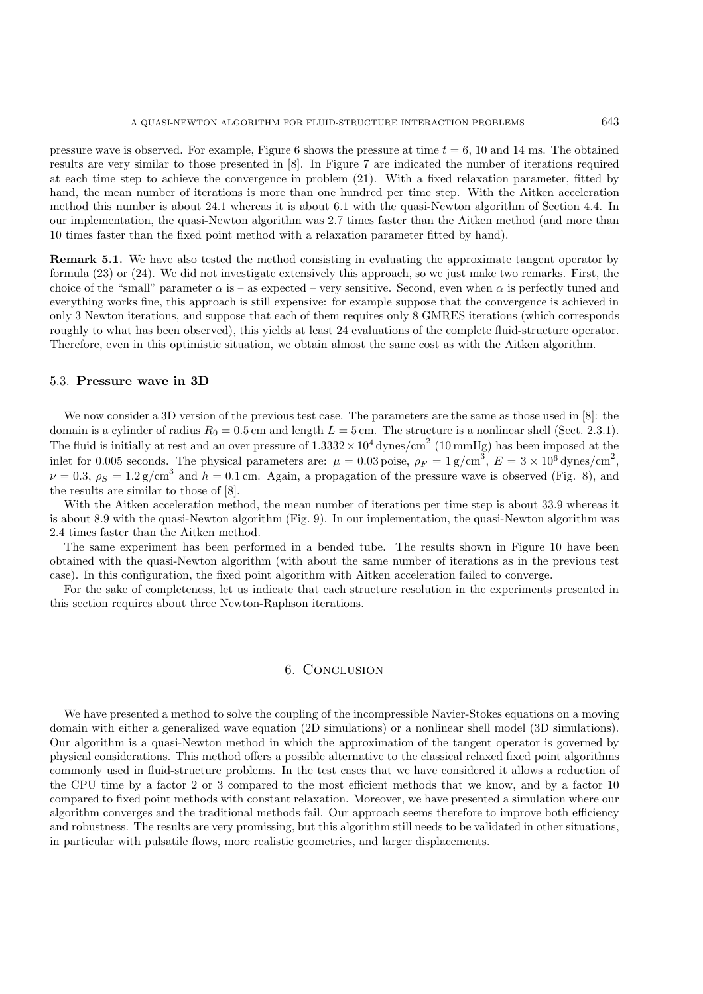pressure wave is observed. For example, Figure 6 shows the pressure at time  $t = 6, 10$  and 14 ms. The obtained results are very similar to those presented in [8]. In Figure 7 are indicated the number of iterations required at each time step to achieve the convergence in problem (21). With a fixed relaxation parameter, fitted by hand, the mean number of iterations is more than one hundred per time step. With the Aitken acceleration method this number is about 24.1 whereas it is about 6.1 with the quasi-Newton algorithm of Section 4.4. In our implementation, the quasi-Newton algorithm was 2.7 times faster than the Aitken method (and more than 10 times faster than the fixed point method with a relaxation parameter fitted by hand).

**Remark 5.1.** We have also tested the method consisting in evaluating the approximate tangent operator by formula (23) or (24). We did not investigate extensively this approach, so we just make two remarks. First, the choice of the "small" parameter  $\alpha$  is – as expected – very sensitive. Second, even when  $\alpha$  is perfectly tuned and everything works fine, this approach is still expensive: for example suppose that the convergence is achieved in only 3 Newton iterations, and suppose that each of them requires only 8 GMRES iterations (which corresponds roughly to what has been observed), this yields at least 24 evaluations of the complete fluid-structure operator. Therefore, even in this optimistic situation, we obtain almost the same cost as with the Aitken algorithm.

#### 5.3. **Pressure wave in 3D**

We now consider a 3D version of the previous test case. The parameters are the same as those used in [8]: the domain is a cylinder of radius  $R_0 = 0.5$  cm and length  $L = 5$  cm. The structure is a nonlinear shell (Sect. 2.3.1). The fluid is initially at rest and an over pressure of  $1.3332 \times 10^4$  dynes/cm<sup>2</sup> (10 mmHg) has been imposed at the inlet for 0.005 seconds. The physical parameters are:  $\mu = 0.03$  poise,  $\rho_F = 1 \text{ g/cm}^3$ ,  $E = 3 \times 10^6 \text{ dynes/cm}^2$ ,  $\nu = 0.3, \rho_S = 1.2 \text{ g/cm}^3$  and  $h = 0.1 \text{ cm}$ . Again, a propagation of the pressure wave is observed (Fig. 8), and the results are similar to those of [8].

With the Aitken acceleration method, the mean number of iterations per time step is about 33.9 whereas it is about 8.9 with the quasi-Newton algorithm (Fig. 9). In our implementation, the quasi-Newton algorithm was 2.4 times faster than the Aitken method.

The same experiment has been performed in a bended tube. The results shown in Figure 10 have been obtained with the quasi-Newton algorithm (with about the same number of iterations as in the previous test case). In this configuration, the fixed point algorithm with Aitken acceleration failed to converge.

For the sake of completeness, let us indicate that each structure resolution in the experiments presented in this section requires about three Newton-Raphson iterations.

#### 6. Conclusion

We have presented a method to solve the coupling of the incompressible Navier-Stokes equations on a moving domain with either a generalized wave equation (2D simulations) or a nonlinear shell model (3D simulations). Our algorithm is a quasi-Newton method in which the approximation of the tangent operator is governed by physical considerations. This method offers a possible alternative to the classical relaxed fixed point algorithms commonly used in fluid-structure problems. In the test cases that we have considered it allows a reduction of the CPU time by a factor 2 or 3 compared to the most efficient methods that we know, and by a factor 10 compared to fixed point methods with constant relaxation. Moreover, we have presented a simulation where our algorithm converges and the traditional methods fail. Our approach seems therefore to improve both efficiency and robustness. The results are very promissing, but this algorithm still needs to be validated in other situations, in particular with pulsatile flows, more realistic geometries, and larger displacements.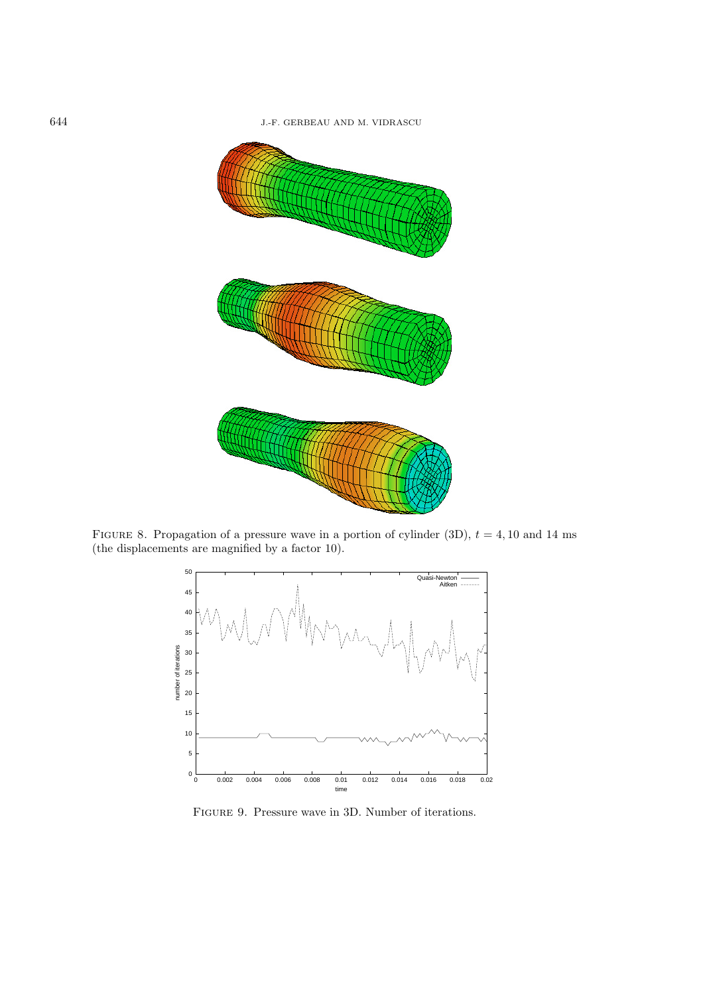

FIGURE 8. Propagation of a pressure wave in a portion of cylinder (3D),  $t = 4, 10$  and 14 ms (the displacements are magnified by a factor 10).



Figure 9. Pressure wave in 3D. Number of iterations.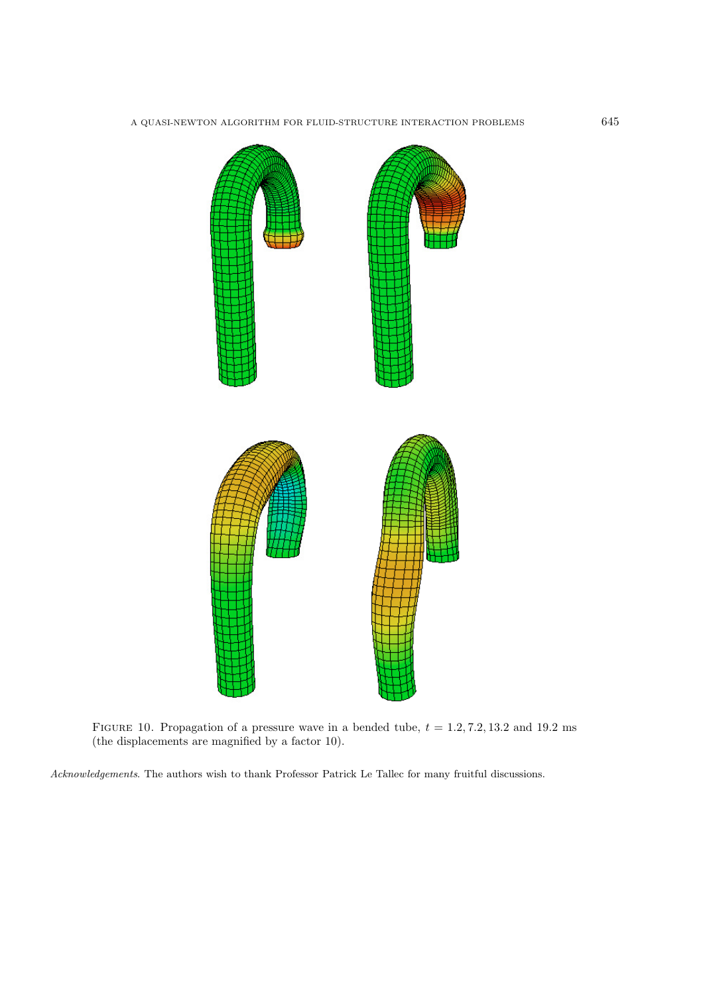

FIGURE 10. Propagation of a pressure wave in a bended tube,  $t = 1.2, 7.2, 13.2$  and 19.2 ms (the displacements are magnified by a factor 10).

Acknowledgements. The authors wish to thank Professor Patrick Le Tallec for many fruitful discussions.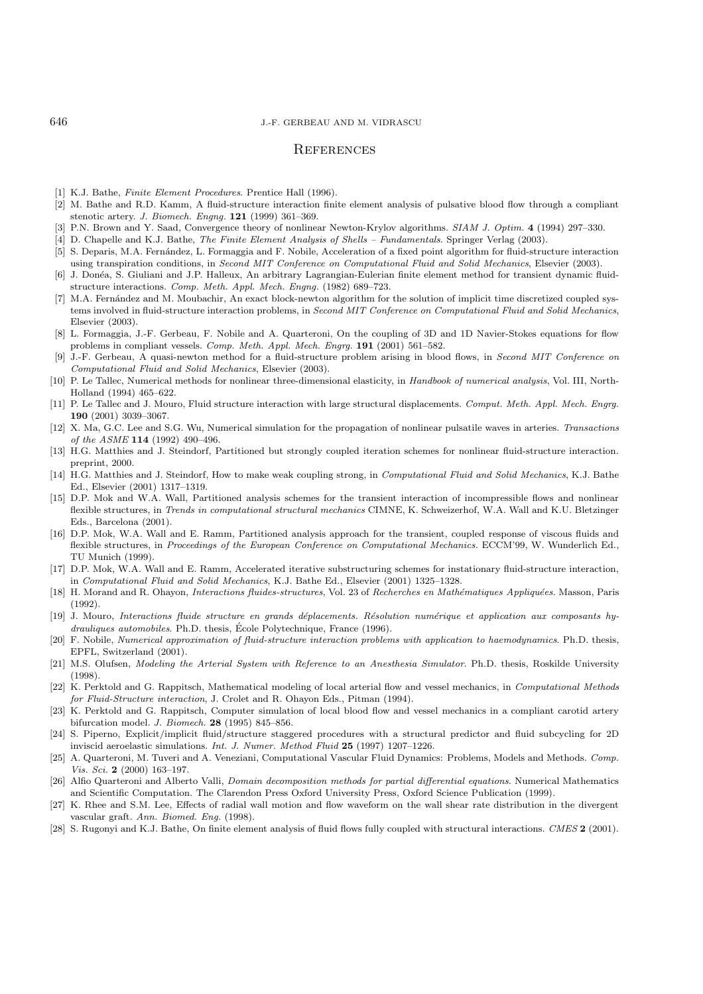## **REFERENCES**

- [1] K.J. Bathe, *Finite Element Procedures*, Prentice Hall (1996).
- [2] M. Bathe and R.D. Kamm, A fluid-structure interaction finite element analysis of pulsative blood flow through a compliant stenotic artery. J. Biomech. Engng. **121** (1999) 361–369.
- [3] P.N. Brown and Y. Saad, Convergence theory of nonlinear Newton-Krylov algorithms. SIAM J. Optim. **4** (1994) 297–330.
- [4] D. Chapelle and K.J. Bathe, The Finite Element Analysis of Shells Fundamentals. Springer Verlag (2003).
- [5] S. Deparis, M.A. Fernández, L. Formaggia and F. Nobile, Acceleration of a fixed point algorithm for fluid-structure interaction using transpiration conditions, in Second MIT Conference on Computational Fluid and Solid Mechanics, Elsevier (2003).
- [6] J. Don´ea, S. Giuliani and J.P. Halleux, An arbitrary Lagrangian-Eulerian finite element method for transient dynamic fluidstructure interactions. Comp. Meth. Appl. Mech. Engng. (1982) 689–723.
- [7] M.A. Fernández and M. Moubachir, An exact block-newton algorithm for the solution of implicit time discretized coupled systems involved in fluid-structure interaction problems, in Second MIT Conference on Computational Fluid and Solid Mechanics, Elsevier (2003).
- [8] L. Formaggia, J.-F. Gerbeau, F. Nobile and A. Quarteroni, On the coupling of 3D and 1D Navier-Stokes equations for flow problems in compliant vessels. Comp. Meth. Appl. Mech. Engrg. **191** (2001) 561–582.
- [9] J.-F. Gerbeau, A quasi-newton method for a fluid-structure problem arising in blood flows, in Second MIT Conference on Computational Fluid and Solid Mechanics, Elsevier (2003).
- [10] P. Le Tallec, Numerical methods for nonlinear three-dimensional elasticity, in Handbook of numerical analysis, Vol. III, North-Holland (1994) 465–622.
- [11] P. Le Tallec and J. Mouro, Fluid structure interaction with large structural displacements. Comput. Meth. Appl. Mech. Engrg. **190** (2001) 3039–3067.
- [12] X. Ma, G.C. Lee and S.G. Wu, Numerical simulation for the propagation of nonlinear pulsatile waves in arteries. Transactions of the ASME **114** (1992) 490–496.
- [13] H.G. Matthies and J. Steindorf, Partitioned but strongly coupled iteration schemes for nonlinear fluid-structure interaction. preprint, 2000.
- [14] H.G. Matthies and J. Steindorf, How to make weak coupling strong, in Computational Fluid and Solid Mechanics, K.J. Bathe Ed., Elsevier (2001) 1317–1319.
- [15] D.P. Mok and W.A. Wall, Partitioned analysis schemes for the transient interaction of incompressible flows and nonlinear flexible structures, in Trends in computational structural mechanics CIMNE, K. Schweizerhof, W.A. Wall and K.U. Bletzinger Eds., Barcelona (2001).
- [16] D.P. Mok, W.A. Wall and E. Ramm, Partitioned analysis approach for the transient, coupled response of viscous fluids and flexible structures, in Proceedings of the European Conference on Computational Mechanics. ECCM'99, W. Wunderlich Ed., TU Munich (1999).
- [17] D.P. Mok, W.A. Wall and E. Ramm, Accelerated iterative substructuring schemes for instationary fluid-structure interaction, in Computational Fluid and Solid Mechanics, K.J. Bathe Ed., Elsevier (2001) 1325–1328.
- [18] H. Morand and R. Ohayon, Interactions fluides-structures, Vol. 23 of Recherches en Mathématiques Appliquées. Masson, Paris (1992).
- [19] J. Mouro, Interactions fluide structure en grands d´eplacements. R´esolution num´erique et application aux composants hydrauliques automobiles. Ph.D. thesis, École Polytechnique, France (1996).
- [20] F. Nobile, Numerical approximation of fluid-structure interaction problems with application to haemodynamics. Ph.D. thesis, EPFL, Switzerland (2001).
- [21] M.S. Olufsen, Modeling the Arterial System with Reference to an Anesthesia Simulator. Ph.D. thesis, Roskilde University (1998).
- [22] K. Perktold and G. Rappitsch, Mathematical modeling of local arterial flow and vessel mechanics, in Computational Methods for Fluid-Structure interaction, J. Crolet and R. Ohayon Eds., Pitman (1994).
- [23] K. Perktold and G. Rappitsch, Computer simulation of local blood flow and vessel mechanics in a compliant carotid artery bifurcation model. J. Biomech. **28** (1995) 845–856.
- [24] S. Piperno, Explicit/implicit fluid/structure staggered procedures with a structural predictor and fluid subcycling for 2D inviscid aeroelastic simulations. Int. J. Numer. Method Fluid **25** (1997) 1207–1226.
- [25] A. Quarteroni, M. Tuveri and A. Veneziani, Computational Vascular Fluid Dynamics: Problems, Models and Methods. Comp. Vis. Sci. **2** (2000) 163–197.
- [26] Alfio Quarteroni and Alberto Valli, *Domain decomposition methods for partial differential equations*. Numerical Mathematics and Scientific Computation. The Clarendon Press Oxford University Press, Oxford Science Publication (1999).
- [27] K. Rhee and S.M. Lee, Effects of radial wall motion and flow waveform on the wall shear rate distribution in the divergent vascular graft. Ann. Biomed. Eng. (1998).
- [28] S. Rugonyi and K.J. Bathe, On finite element analysis of fluid flows fully coupled with structural interactions. CMES **2** (2001).